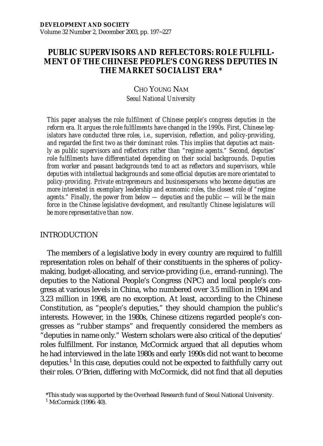# **PUBLIC SUPERVISORS AND REFLECTORS: ROLE FULFILL-MENT OF THE CHINESE PEOPLE'S CONGRESS DEPUTIES IN THE MARKET SOCIALIST ERA\***

# CHO YOUNG NAM *Seoul National University*

*This paper analyses the role fulfilment of Chinese people's congress deputies in the reform era. It argues the role fulfilments have changed in the 1990s. First, Chinese legislators have conducted three roles, i.e., supervision, reflection, and policy-providing, and regarded the first two as their dominant roles. This implies that deputies act mainly as public supervisors and reflectors rather than "regime agents." Second, deputies' role fulfilments have differentiated depending on their social backgrounds. Deputies from worker and peasant backgrounds tend to act as reflectors and supervisors, while deputies with intellectual backgrounds and some official deputies are more orientated to policy-providing. Private entrepreneurs and businesspersons who become deputies are more interested in exemplary leadership and economic roles, the closest role of "regime agents." Finally, the power from below — deputies and the public — will be the main force in the Chinese legislative development, and resultantly Chinese legislatures will be more representative than now.*

### INTRODUCTION

The members of a legislative body in every country are required to fulfill representation roles on behalf of their constituents in the spheres of policymaking, budget-allocating, and service-providing (i.e., errand-running). The deputies to the National People's Congress (NPC) and local people's congress at various levels in China, who numbered over 3.5 million in 1994 and 3.23 million in 1998, are no exception. At least, according to the Chinese Constitution, as "people's deputies," they should champion the public's interests. However, in the 1980s, Chinese citizens regarded people's congresses as "rubber stamps" and frequently considered the members as "deputies in name only." Western scholars were also critical of the deputies' roles fulfillment. For instance, McCormick argued that all deputies whom he had interviewed in the late 1980s and early 1990s did not want to become deputies.<sup>1</sup> In this case, deputies could not be expected to faithfully carry out their roles. O'Brien, differing with McCormick, did not find that all deputies

<sup>\*</sup>This study was supported by the Overhead Research fund of Seoul National University.

<sup>1</sup> McCormick (1996: 40).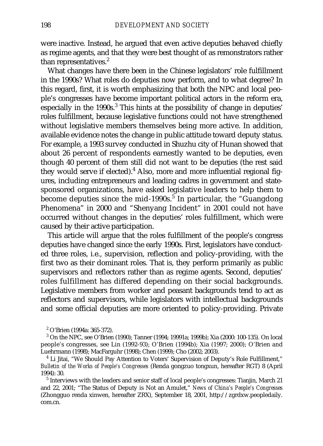were inactive. Instead, he argued that even active deputies behaved chiefly as regime agents, and that they were best thought of as remonstrators rather than representatives.<sup>2</sup>

What changes have there been in the Chinese legislators' role fulfillment in the 1990s? What roles do deputies now perform, and to what degree? In this regard, first, it is worth emphasizing that both the NPC and local people's congresses have become important political actors in the reform era,  $\frac{1}{2}$  especially in the 1990s.<sup>3</sup> This hints at the possibility of change in deputies' roles fulfillment, because legislative functions could not have strengthened without legislative members themselves being more active. In addition, available evidence notes the change in public attitude toward deputy status. For example, a 1993 survey conducted in Shuzhu city of Hunan showed that about 26 percent of respondents earnestly wanted to be deputies, even though 40 percent of them still did not want to be deputies (the rest said they would serve if elected).<sup>4</sup> Also, more and more influential regional figures, including entrepreneurs and leading cadres in government and statesponsored organizations, have asked legislative leaders to help them to become deputies since the mid-1990s.<sup>5</sup> In particular, the "Guangdong" Phenomena" in 2000 and "Shenyang Incident" in 2001 could not have occurred without changes in the deputies' roles fulfillment, which were caused by their active participation.

This article will argue that the roles fulfillment of the people's congress deputies have changed since the early 1990s. First, legislators have conducted three roles, i.e., supervision, reflection and policy-providing, with the first two as their dominant roles. That is, they perform primarily as public supervisors and reflectors rather than as regime agents. Second, deputies' roles fulfillment has differed depending on their social backgrounds. Legislative members from worker and peasant backgrounds tend to act as reflectors and supervisors, while legislators with intellectual backgrounds and some official deputies are more oriented to policy-providing. Private

<sup>2</sup> O'Brien (1994a: 365-372).

<sup>3</sup> On the NPC, see O'Brien (1990); Tanner (1994; 19991a; 1999b); Xia (2000: 100-135). On local people's congresses, see Lin (1992-93); O'Brien (1994b); Xia (1997; 2000); O'Brien and Luehrmann (1998); MacFarguhr (1998); Chen (1999); Cho (2002; 2003).

<sup>4</sup> Li Jitai, "We Should Pay Attention to Voters' Supervision of Deputy's Role Fulfillment," *Bulletin of the Works of People's Congresses* (Renda gongzuo tongxun, hereafter RGT) 8 (April 1994): 30.<br><sup>5</sup> Interviews with the leaders and senior staff of local people's congresses: Tianjin, March 21

and 22, 2001; "The Status of Deputy is Not an Amulet," *News of China's People's Congresses* (Zhongguo renda xinwen, hereafter ZRX), September 18, 2001, http://zgrdxw.peopledaily. com.cn.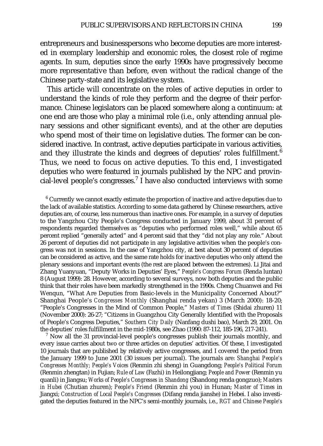entrepreneurs and businesspersons who become deputies are more interested in exemplary leadership and economic roles, the closest role of regime agents. In sum, deputies since the early 1990s have progressively become more representative than before, even without the radical change of the Chinese party-state and its legislative system.

This article will concentrate on the roles of active deputies in order to understand the kinds of role they perform and the degree of their performance. Chinese legislators can be placed somewhere along a continuum: at one end are those who play a minimal role (i.e., only attending annual plenary sessions and other significant events), and at the other are deputies who spend most of their time on legislative duties. The former can be considered inactive. In contrast, active deputies participate in various activities, and they illustrate the kinds and degrees of deputies' roles fulfillment.<sup>6</sup> Thus, we need to focus on active deputies. To this end, I investigated deputies who were featured in journals published by the NPC and provincial-level people's congresses.<sup>7</sup> I have also conducted interviews with some

 $6$  Currently we cannot exactly estimate the proportion of inactive and active deputies due to the lack of available statistics. According to some data gathered by Chinese researchers, active deputies are, of course, less numerous than inactive ones. For example, in a survey of deputies to the Yangzhou City People's Congress conducted in January 1999, about 31 percent of respondents regarded themselves as "deputies who performed roles well," while about 65 percent replied "generally acted" and 4 percent said that they "did not play any role." About 26 percent of deputies did not participate in any legislative activities when the people's congress was not in sessions. In the case of Yangzhou city, at best about 30 percent of deputies can be considered as active, and the same rate holds for inactive deputies who only attend the plenary sessions and important events (the rest are placed between the extremes). Li Jitai and Zhang Yuanyuan, "Deputy Works in Deputies' Eyes," *People's Congress Forum* (Renda luntan) 8 (August 1999): 28. However, according to several surveys, now both deputies and the public think that their roles have been markedly strengthened in the 1990s. Cheng Chuanwei and Fei Wenqun, "What Are Deputies from Basic-levels in the Municipality Concerned About?" Shanghai People's *Congresses Monthly* (Shanghai renda yekan) 3 (March 2000): 18-20; "People's Congresses in the Mind of Common People," *Masters of Times* (Shidai zhuren) 11 (November 2000): 26-27; "Citizens in Guangzhou City Generally Identified with the Proposals of People's Congress Deputies," *Southern City Daily* (Nanfang dushi bao), March 29, 2001. On the deputies' roles fulfillment in the mid-1980s, see Zhao (1990: 87-112, 185-196, 217-241).

 $<sup>7</sup>$  Now all the 31 provincial-level people's congresses publish their journals monthly, and</sup> every issue carries about two or three articles on deputies' activities. Of these, I investigated 10 journals that are published by relatively active congresses, and I covered the period from the January 1999 to June 2001 (30 issues per journal). The journals are: *Shanghai People's Congresses Monthly; People's Voices* (Renmin zhi sheng) in Guangdong; *People's Political Forum* (Renmin zhengtan) in Fujian; *Rule of Law* (Fazhi) in Heilongjiang; *People and Power* (Renmin yu quanli) in Jiangsu; *Works of People's Congresses in Shandong* (Shandong renda gongzuo); *Masters in Hubei* (Chutian zhuren); *People's Friend* (Renmin zhi you) in Hunan; *Master of Times* in Jiangxi; *Construction of Local People's Congresses* (Difang renda jianshe) in Hebei. I also investigated the deputies featured in the NPC's semi-monthly journals, i.e., *RGT and Chinese People's*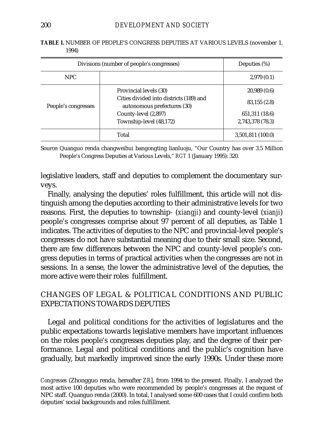| Divisions (number of people's congresses) | Deputies $(\%)$                                                        |                   |
|-------------------------------------------|------------------------------------------------------------------------|-------------------|
| NPC.                                      |                                                                        | 2,979(0.1)        |
| People's congresses                       | Provincial levels (30)                                                 | 20,989(0.6)       |
|                                           | Cities divided into districts (189) and<br>autonomous prefectures (30) | 83,155 (2.8)      |
|                                           | County-level (2,897)                                                   | 651, 311 (18.6)   |
|                                           | Township-level (48,172)                                                | 2,743,378 (78.3)  |
|                                           | Total                                                                  | 3,501,811 (100.0) |

**TABLE 1.** NUMBER OF PEOPLE'S CONGRESS DEPUTIES AT VARIOUS LEVELS (november 1, 1994)

Source: Quanguo renda changweihui bangongting lianluoju, "Our Country has over 3.5 Million People's Congress Deputies at Various Levels," *RGT* 1 (January 1995): 320.

legislative leaders, staff and deputies to complement the documentary surveys.

Finally, analysing the deputies' roles fulfillment, this article will not distinguish among the deputies according to their administrative levels for two reasons. First, the deputies to township- (*xiangji*) and county-level (*xianji*) people's congresses comprise about 97 percent of all deputies, as Table 1 indicates. The activities of deputies to the NPC and provincial-level people's congresses do not have substantial meaning due to their small size. Second, there are few differences between the NPC and county-level people's congress deputies in terms of practical activities when the congresses are not in sessions. In a sense, the lower the administrative level of the deputies, the more active were their roles fulfillment.

# CHANGES OF LEGAL & POLITICAL CONDITIONS AND PUBLIC EXPECTATIONS TOWARDS DEPUTIES

Legal and political conditions for the activities of legislatures and the public expectations towards legislative members have important influences on the roles people's congresses deputies play, and the degree of their performance. Legal and political conditions and the public's cognition have gradually, but markedly improved since the early 1990s. Under these more

*Congresses* (Zhongguo renda, hereafter *ZR*], from 1994 to the present. Finally, I analyzed the most active 100 deputies who were recommended by people's congresses at the request of NPC staff. Quanguo renda (2000). In total, I analysed some 600 cases that I could confirm both deputies' social backgrounds and roles fulfillment.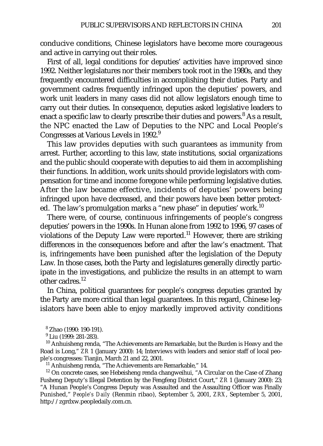conducive conditions, Chinese legislators have become more courageous and active in carrying out their roles.

First of all, legal conditions for deputies' activities have improved since 1992. Neither legislatures nor their members took root in the 1980s, and they frequently encountered difficulties in accomplishing their duties. Party and government cadres frequently infringed upon the deputies' powers, and work unit leaders in many cases did not allow legislators enough time to carry out their duties. In consequence, deputies asked legislative leaders to enact a specific law to clearly prescribe their duties and powers. $8$  As a result, the NPC enacted the Law of Deputies to the NPC and Local People's Congresses at Various Levels in 1992.<sup>9</sup>

This law provides deputies with such guarantees as immunity from arrest. Further, according to this law, state institutions, social organizations and the public should cooperate with deputies to aid them in accomplishing their functions. In addition, work units should provide legislators with compensation for time and income foregone while performing legislative duties. After the law became effective, incidents of deputies' powers being infringed upon have decreased, and their powers have been better protected. The law's promulgation marks a "new phase" in deputies' work.<sup>10</sup>

There were, of course, continuous infringements of people's congress deputies' powers in the 1990s. In Hunan alone from 1992 to 1996, 97 cases of violations of the Deputy Law were reported.<sup>11</sup> However, there are striking differences in the consequences before and after the law's enactment. That is, infringements have been punished after the legislation of the Deputy Law. In those cases, both the Party and legislatures generally directly participate in the investigations, and publicize the results in an attempt to warn other cadres<sup>12</sup>

In China, political guarantees for people's congress deputies granted by the Party are more critical than legal guarantees. In this regard, Chinese legislators have been able to enjoy markedly improved activity conditions

<sup>8</sup> Zhao (1990: 190-191).

<sup>9</sup> Liu (1999: 281-283).

<sup>10</sup> Anhuisheng renda, "The Achievements are Remarkable, but the Burden is Heavy and the Road is Long," *ZR* 1 (January 2000): 14; Interviews with leaders and senior staff of local people's congresses: Tianjin, March 21 and 22, 2001.

<sup>11</sup> Anhuisheng renda, "The Achievements are Remarkable," 14.

<sup>12</sup> On concrete cases, see Hebeisheng renda changweihui, "A Circular on the Case of Zhang Fusheng Deputy's Illegal Detention by the Fengfeng District Court," *ZR* 1 (January 2000): 23; "A Hunan People's Congress Deputy was Assaulted and the Assaulting Officer was Finally Punished," *People's Daily* (Renmin ribao), September 5, 2001, *ZRX*, September 5, 2001, http://zgrdxw.peopledaily.com.cn.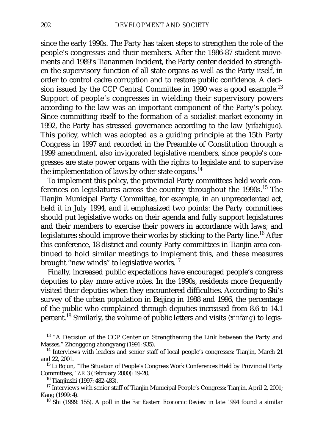since the early 1990s. The Party has taken steps to strengthen the role of the people's congresses and their members. After the 1986-87 student movements and 1989's Tiananmen Incident, the Party center decided to strengthen the supervisory function of all state organs as well as the Party itself, in order to control cadre corruption and to restore public confidence. A decision issued by the CCP Central Committee in 1990 was a good example.<sup>13</sup> Support of people's congresses in wielding their supervisory powers according to the law was an important component of the Party's policy. Since committing itself to the formation of a socialist market economy in 1992, the Party has stressed governance according to the law (*yifazhiguo*). This policy, which was adopted as a guiding principle at the 15th Party Congress in 1997 and recorded in the Preamble of Constitution through a 1999 amendment, also invigorated legislative members, since people's congresses are state power organs with the rights to legislate and to supervise the implementation of laws by other state organs.<sup>14</sup>

To implement this policy, the provincial Party committees held work conferences on legislatures across the country throughout the 1990s.<sup>15</sup> The Tianjin Municipal Party Committee, for example, in an unprecedented act, held it in July 1994, and it emphasized two points: the Party committees should put legislative works on their agenda and fully support legislatures and their members to exercise their powers in accordance with laws; and legislatures should improve their works by sticking to the Party line.<sup>16</sup> After this conference, 18 district and county Party committees in Tianjin area continued to hold similar meetings to implement this, and these measures brought "new winds" to legislative works.<sup>17</sup>

Finally, increased public expectations have encouraged people's congress deputies to play more active roles. In the 1990s, residents more frequently visited their deputies when they encountered difficulties. According to Shi's survey of the urban population in Beijing in 1988 and 1996, the percentage of the public who complained through deputies increased from 8.6 to 14.1 percent.18 Similarly, the volume of public letters and visits (*xinfang*) to legis-

<sup>&</sup>lt;sup>13</sup> "A Decision of the CCP Center on Strengthening the Link between the Party and Masses," Zhonggong zhongyang (1991: 935).

<sup>&</sup>lt;sup>14</sup> Interviews with leaders and senior staff of local people's congresses: Tianjin, March 21 and 22, 2001.

<sup>&</sup>lt;sup>15</sup> Li Bojun, "The Situation of People's Congress Work Conferences Held by Provincial Party Committees," *ZR* 3 (February 2000): 19-20.

<sup>16</sup> Tianjinshi (1997: 482-483).

<sup>&</sup>lt;sup>17</sup> Interviews with senior staff of Tianjin Municipal People's Congress: Tianjin, April 2, 2001; Kang (1999: 4).

<sup>18</sup> Shi (1999: 155). A poll in the *Far Eastern Economic Review* in late 1994 found a similar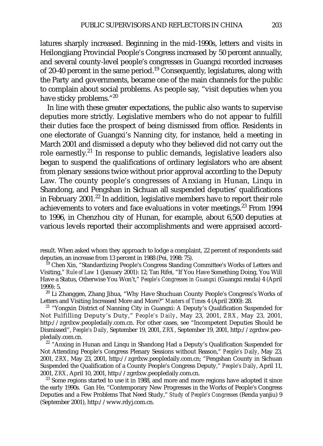latures sharply increased. Beginning in the mid-1990s, letters and visits in Heilongjiang Provincial People's Congress increased by 50 percent annually, and several county-level people's congresses in Guangxi recorded increases of 20-40 percent in the same period.<sup>19</sup> Consequently, legislatures, along with the Party and governments, became one of the main channels for the public to complain about social problems. As people say, "visit deputies when you have sticky problems."20

In line with these greater expectations, the public also wants to supervise deputies more strictly. Legislative members who do not appear to fulfill their duties face the prospect of being dismissed from office. Residents in one electorate of Guangxi's Nanning city, for instance, held a meeting in March 2001 and dismissed a deputy who they believed did not carry out the role earnestly.<sup>21</sup> In response to public demands, legislative leaders also began to suspend the qualifications of ordinary legislators who are absent from plenary sessions twice without prior approval according to the Deputy Law. The county people's congresses of Anxiang in Hunan, Linqu in Shandong, and Pengshan in Sichuan all suspended deputies' qualifications in February 2001.<sup>22</sup> In addition, legislative members have to report their role achievements to voters and face evaluations in voter meetings. $23$  From 1994 to 1996, in Chenzhou city of Hunan, for example, about 6,500 deputies at various levels reported their accomplishments and were appraised accord-

result. When asked whom they approach to lodge a complaint, 22 percent of respondents said deputies, an increase from 13 percent in 1988 (Pei, 1998: 75).

<sup>19</sup> Chen Xin, "Standardizing People's Congress Standing Committee's Works of Letters and Visiting," *Rule of Law* 1 (January 2001): 12; Tan Rifei, "If You Have Something Doing, You Will Have a Status, Otherwise You Won't," *People's Congresses in Guangxi* (Guangxi renda) 4 (April 1999): 5.

<sup>20</sup> Li Zhanggen, Zhang Jihua, "Why Have Shuchuan County People's Congress's Works of Letters and Visiting Increased More and More?" *Masters of Times* 4 (April 2000): 28.

<sup>21</sup> "Yongxin District of Nanning City in Guangxi: A Deputy's Qualification Suspended for Not Fulfilling Deputy's Duty," *People's Daily*, May 23, 2001, *ZRX*, May 23, 2001, http://zgrdxw.peopledaily.com.cn. For other cases, see "Incompetent Deputies Should be Dismissed", *People's Daily*, September 19, 2001, *ZRX*, September 19, 2001, http://zgrdxw.peopledaily.com.cn.

 $22$  "Anxing in Hunan and Linqu in Shandong Had a Deputy's Qualification Suspended for Not Attending People's Congress Plenary Sessions without Reason," *People's Daily*, May 23, 2001, *ZRX*, May 23, 2001, http://zgrdxw.peopledaily.com.cn; "Pengshan County in Sichuan Suspended the Qualification of a County People's Congress Deputy," *People's Daily*, April 11, 2001, *ZRX*, April 10, 2001, http://zgrdxw.peopledaily.com.cn.

 $23$  Some regions started to use it in 1988, and more and more regions have adopted it since the early 1990s. Gan He, "Contemporary New Progresses in the Works of People's Congress Deputies and a Few Problems That Need Study," *Study of People's Congresses* (Renda yanjiu) 9 (September 2001), http://www.rdyj.com.cn.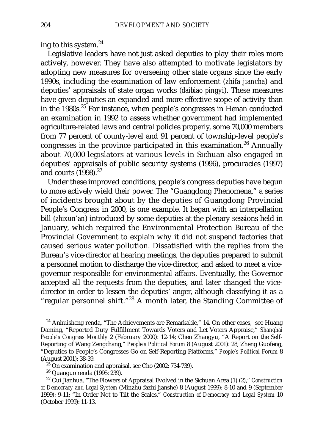ing to this system.24

Legislative leaders have not just asked deputies to play their roles more actively, however. They have also attempted to motivate legislators by adopting new measures for overseeing other state organs since the early 1990s, including the examination of law enforcement (*zhifa jiancha*) and deputies' appraisals of state organ works (*daibiao pingyi*). These measures have given deputies an expanded and more effective scope of activity than in the 1980s.<sup>25</sup> For instance, when people's congresses in Henan conducted an examination in 1992 to assess whether government had implemented agriculture-related laws and central policies properly, some 70,000 members from 77 percent of county-level and 91 percent of township-level people's congresses in the province participated in this examination.<sup>26</sup> Annually about 70,000 legislators at various levels in Sichuan also engaged in deputies' appraisals of public security systems (1996), procuracies (1997) and courts  $(1998).^{27}$ 

Under these improved conditions, people's congress deputies have begun to more actively wield their power. The "Guangdong Phenomena," a series of incidents brought about by the deputies of Guangdong Provincial People's Congress in 2000, is one example. It began with an interpellation bill (*zhixun'an*) introduced by some deputies at the plenary sessions held in January, which required the Environmental Protection Bureau of the Provincial Government to explain why it did not suspend factories that caused serious water pollution. Dissatisfied with the replies from the Bureau's vice-director at hearing meetings, the deputies prepared to submit a personnel motion to discharge the vice-director, and asked to meet a vicegovernor responsible for environmental affairs. Eventually, the Governor accepted all the requests from the deputies, and later changed the vicedirector in order to lessen the deputies' anger, although classifying it as a "regular personnel shift."<sup>28</sup> A month later, the Standing Committee of

 $24$  Anhuisheng renda, "The Achievements are Remarkable," 14. On other cases, see Huang Daming, "Reported Duty Fulfillment Towards Voters and Let Voters Appraise," *Shanghai People's Congress Monthly* 2 (February 2000): 12-14; Chen Zhangyu, "A Report on the Self-Reporting of Wang Zengchang," *People's Political Forum* 8 (August 2001): 28; Zheng Guofeng, "Deputies to People's Congresses Go on Self-Reporting Platforms," *People's Political Forum* 8 (August 2001): 38-39.

<sup>25</sup> On examination and appraisal, see Cho (2002: 734-739).<br><sup>26</sup> Quanguo renda (1995: 239).

<sup>27</sup> Cui Jianhua, "The Flowers of Appraisal Evolved in the Sichuan Area (1) (2)," *Construction of Democracy and Legal System* (Minzhu fazhi jianshe) 8 (August 1999): 8-10 and 9 (September 1999): 9-11; "In Order Not to Tilt the Scales," *Construction of Democracy and Legal System* 10 (October 1999): 11-13.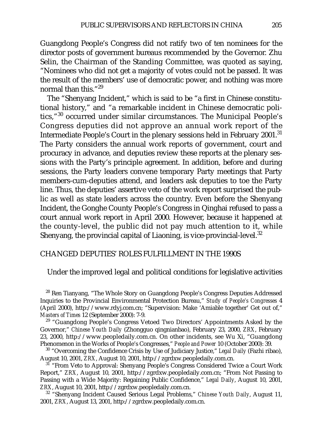Guangdong People's Congress did not ratify two of ten nominees for the director posts of government bureaus recommended by the Governor. Zhu Selin, the Chairman of the Standing Committee, was quoted as saying, "Nominees who did not get a majority of votes could not be passed. It was the result of the members' use of democratic power, and nothing was more normal than this."29

The "Shenyang Incident," which is said to be "a first in Chinese constitutional history," and "a remarkable incident in Chinese democratic politics,"<sup>30</sup> occurred under similar circumstances. The Municipal People's Congress deputies did not approve an annual work report of the Intermediate People's Court in the plenary sessions held in February 2001.<sup>31</sup> The Party considers the annual work reports of government, court and procuracy in advance, and deputies review these reports at the plenary sessions with the Party's principle agreement. In addition, before and during sessions, the Party leaders convene temporary Party meetings that Party members-cum-deputies attend, and leaders ask deputies to toe the Party line. Thus, the deputies' assertive veto of the work report surprised the public as well as state leaders across the country. Even before the Shenyang Incident, the Gonghe County People's Congress in Qinghai refused to pass a court annual work report in April 2000. However, because it happened at the county-level, the public did not pay much attention to it, while Shenyang, the provincial capital of Liaoning, is vice-provincial-level.<sup>32</sup>

### CHANGED DEPUTIES' ROLES FULFILLMENT IN THE 1990S

### Under the improved legal and political conditions for legislative activities

<sup>28</sup> Ren Tianyang, "The Whole Story on Guangdong People's Congress Deputies Addressed Inquiries to the Provincial Environmental Protection Bureau," *Study of People's Congresses* 4 (April 2000), http://www.rdyj.com.cn; "Supervision: Make 'Amiable together' Get out of," *Masters of Times* 12 (September 2000): 7-9.

 $29$  "Guangdong People's Congress Vetoed Two Directors' Appointments Asked by the Governor," *Chinese Youth Daily* (Zhongguo qingnianbao), February 23, 2000, *ZRX*, February 23, 2000, http://www.peopledaily.com.cn. On other incidents, see Wu Xi, "Guangdong Phenomenon in the Works of People's Congresses," *People and Power* 10 (October 2000): 39.

<sup>30</sup> "Overcoming the Confidence Crisis by Use of Judiciary Justice," *Legal Daily* (Fazhi ribao), August 10, 2001, *ZRX*, August 10, 2001, http://zgrdxw.peopledaily.com.cn.

<sup>31</sup> "From Veto to Approval: Shenyang People's Congress Considered Twice a Court Work Report," *ZRX*, August 10, 2001, http://zgrdxw.peopledaily.com.cn; "From Not Passing to Passing with a Wide Majority: Regaining Public Confidence," *Legal Daily*, August 10, 2001, *ZRX*, August 10, 2001, http://zgrdxw.peopledaily.com.cn.

<sup>32</sup> "Shenyang Incident Caused Serious Legal Problems," *Chinese Youth Daily*, August 11, 2001, *ZRX*, August 13, 2001, http://zgrdxw.peopledaily.com.cn.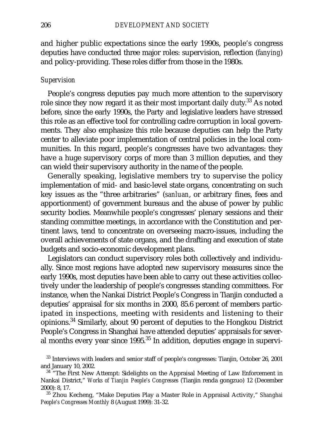and higher public expectations since the early 1990s, people's congress deputies have conducted three major roles: supervision, reflection (*fanying*) and policy-providing. These roles differ from those in the 1980s.

### *Supervision*

People's congress deputies pay much more attention to the supervisory role since they now regard it as their most important daily duty.33 As noted before, since the early 1990s, the Party and legislative leaders have stressed this role as an effective tool for controlling cadre corruption in local governments. They also emphasize this role because deputies can help the Party center to alleviate poor implementation of central policies in the local communities. In this regard, people's congresses have two advantages: they have a huge supervisory corps of more than 3 million deputies, and they can wield their supervisory authority in the name of the people.

Generally speaking, legislative members try to supervise the policy implementation of mid- and basic-level state organs, concentrating on such key issues as the "three arbitraries" (*sanluan*, or arbitrary fines, fees and apportionment) of government bureaus and the abuse of power by public security bodies. Meanwhile people's congresses' plenary sessions and their standing committee meetings, in accordance with the Constitution and pertinent laws, tend to concentrate on overseeing macro-issues, including the overall achievements of state organs, and the drafting and execution of state budgets and socio-economic development plans.

Legislators can conduct supervisory roles both collectively and individually. Since most regions have adopted new supervisory measures since the early 1990s, most deputies have been able to carry out these activities collectively under the leadership of people's congresses standing committees. For instance, when the Nankai District People's Congress in Tianjin conducted a deputies' appraisal for six months in 2000, 85.6 percent of members participated in inspections, meeting with residents and listening to their opinions.<sup>34</sup> Similarly, about 90 percent of deputies to the Hongkou District People's Congress in Shanghai have attended deputies' appraisals for several months every year since 1995.<sup>35</sup> In addition, deputies engage in supervi-

<sup>&</sup>lt;sup>33</sup> Interviews with leaders and senior staff of people's congresses: Tianjin, October 26, 2001 and January 10, 2002.<br><sup>34</sup> "The First New Attempt: Sidelights on the Appraisal Meeting of Law Enforcement in

Nankai District," *Works of Tianjin People's Congresses* (Tianjin renda gongzuo) 12 (December 2000): 8, 17.

<sup>35</sup> Zhou Kecheng, "Make Deputies Play a Master Role in Appraisal Activity," *Shanghai People's Congresses Monthly* 8 (August 1999): 31-32.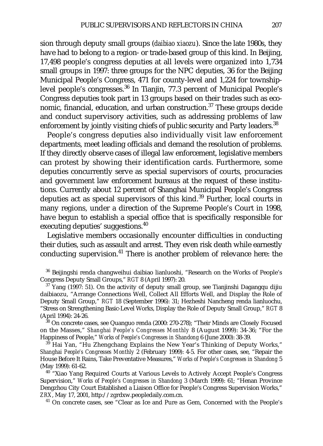sion through deputy small groups (*daibiao xiaozu*). Since the late 1980s, they have had to belong to a region- or trade-based group of this kind. In Beijing, 17,498 people's congress deputies at all levels were organized into 1,734 small groups in 1997: three groups for the NPC deputies, 36 for the Beijing Municipal People's Congress, 471 for county-level and 1,224 for townshiplevel people's congresses.<sup>36</sup> In Tianjin, 77.3 percent of Municipal People's Congress deputies took part in 13 groups based on their trades such as economic, financial, education, and urban construction.<sup>37</sup> These groups decide and conduct supervisory activities, such as addressing problems of law enforcement by jointly visiting chiefs of public security and Party leaders.<sup>38</sup>

People's congress deputies also individually visit law enforcement departments, meet leading officials and demand the resolution of problems. If they directly observe cases of illegal law enforcement, legislative members can protest by showing their identification cards. Furthermore, some deputies concurrently serve as special supervisors of courts, procuracies and government law enforcement bureaus at the request of these institutions. Currently about 12 percent of Shanghai Municipal People's Congress deputies act as special supervisors of this kind. $39$  Further, local courts in many regions, under a direction of the Supreme People's Court in 1998, have begun to establish a special office that is specifically responsible for executing deputies' suggestions.<sup>40</sup>

Legislative members occasionally encounter difficulties in conducting their duties, such as assault and arrest. They even risk death while earnestly conducting supervision.<sup>41</sup> There is another problem of relevance here: the

<sup>38</sup> On concrete cases, see Quanguo renda (2000: 270-278); "Their Minds are Closely Focused on the Masses," *Shanghai People's Congresses Monthly* 8 (August 1999): 34-36; "For the Happiness of People," *Works of People's Congresses in Shandong* 6 (June 2000): 38-39.

<sup>39</sup> Hai Yan, "Hu Zhengchang Explains the New Year's Thinking of Deputy Works," *Shanghai People's Congresses Monthly* 2 (February 1999): 4-5. For other cases, see, "Repair the House Before It Rains, Take Preventative Measures," *Works of People's Congresses in Shandong* 5 (May 1999): 61-62.

<sup>40 "</sup>Xiao Yang Required Courts at Various Levels to Actively Accept People's Congress Supervision," *Works of People's Congresses in Shandong* 3 (March 1999): 61; "Henan Province Dengzhou City Court Established a Liaison Office for People's Congress Supervision Works," *ZRX*, May 17, 2001, http://zgrdxw.peopledaily.com.cn.

<sup>41</sup> On concrete cases, see "Clear as Ice and Pure as Gem, Concerned with the People's

<sup>&</sup>lt;sup>36</sup> Beijingshi renda changweihui daibiao lianluoshi, "Research on the Works of People's Congress Deputy Small Groups," *RGT* 8 (April 1997): 20.

 $37$  Yang (1997: 51). On the activity of deputy small group, see Tianjinshi Dagangqu dijiu daibiaozu, "Arrange Connections Well, Collect All Efforts Well, and Display the Role of Deputy Small Group," *RGT* 18 (September 1996): 31; Hezheshi Nancheng renda lianluochu, "Stress on Strengthening Basic-Level Works, Display the Role of Deputy Small Group," *RGT* 8 (April 1994): 24-26.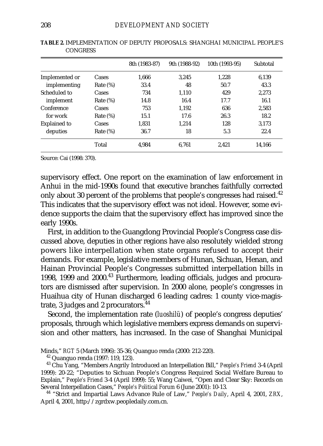|                     |             | 8th (1983-87) | 9th (1988-92) | 10th (1993-95) | Subtotal |
|---------------------|-------------|---------------|---------------|----------------|----------|
| Implemented or      | Cases       | 1,666         | 3.245         | 1.228          | 6.139    |
| implementing        | Rate $(\%)$ | 33.4          | 48            | 50.7           | 43.3     |
| Scheduled to        | Cases       | 734           | 1.110         | 429            | 2.273    |
| implement           | Rate $(\%)$ | 14.8          | 16.4          | 17.7           | 16.1     |
| Conference          | Cases       | 753           | 1.192         | 636            | 2,583    |
| for work            | Rate $(\%)$ | 15.1          | 17.6          | 26.3           | 18.2     |
| <b>Explained to</b> | Cases       | 1.831         | 1.214         | 128            | 3.173    |
| deputies            | Rate $(\%)$ | 36.7          | 18            | 5.3            | 22.4     |
|                     | Total       | 4.984         | 6.761         | 2.421          | 14.166   |

**TABLE 2.** IMPLEMENTATION OF DEPUTY PROPOSALS: SHANGHAI MUNICIPAL PEOPLE'S **CONGRESS** 

Source: Cai (1998: 370).

supervisory effect. One report on the examination of law enforcement in Anhui in the mid-1990s found that executive branches faithfully corrected only about 30 percent of the problems that people's congresses had raised.<sup>42</sup> This indicates that the supervisory effect was not ideal. However, some evidence supports the claim that the supervisory effect has improved since the early 1990s.

First, in addition to the Guangdong Provincial People's Congress case discussed above, deputies in other regions have also resolutely wielded strong powers like interpellation when state organs refused to accept their demands. For example, legislative members of Hunan, Sichuan, Henan, and Hainan Provincial People's Congresses submitted interpellation bills in 1998, 1999 and 2000.<sup>43</sup> Furthermore, leading officials, judges and procurators are dismissed after supervision. In 2000 alone, people's congresses in Huaihua city of Hunan discharged 6 leading cadres: 1 county vice-magistrate, 3 judges and 2 procurators.<sup>44</sup>

Second, the implementation rate (*luoshilü*) of people's congress deputies' proposals, through which legislative members express demands on supervision and other matters, has increased. In the case of Shanghai Municipal

Minds," *RGT* 5 (March 1996): 35-36; Quanguo renda (2000: 212-220).

<sup>42</sup> Quanguo renda (1997: 119, 123).

<sup>43</sup> Chu Yang, "Members Angrily Introduced an Interpellation Bill," *People's Friend* 3-4 (April 1999): 20-22; "Deputies to Sichuan People's Congress Required Social Welfare Bureau to Explain," *People's Friend* 3-4 (April 1999): 55; Wang Caiwei, "Open and Clear Sky: Records on

<sup>44</sup> "Strict and Impartial Laws Advance Rule of Law," *People's Daily*, April 4, 2001, *ZRX*, April 4, 2001, http://zgrdxw.peopledaily.com.cn.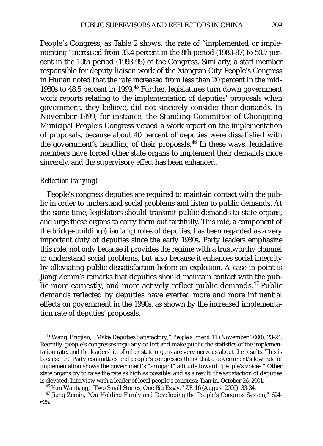People's Congress, as Table 2 shows, the rate of "implemented or implementing" increased from 33.4 percent in the 8th period (1983-87) to 50.7 percent in the 10th period (1993-95) of the Congress. Similarly, a staff member responsible for deputy liaison work of the Xiangtan City People's Congress in Hunan noted that the rate increased from less than 20 percent in the mid-1980s to 48.5 percent in 1999.<sup>45</sup> Further, legislatures turn down government work reports relating to the implementation of deputies' proposals when government, they believe, did not sincerely consider their demands. In November 1999, for instance, the Standing Committee of Chongqing Municipal People's Congress vetoed a work report on the implementation of proposals, because about 40 percent of deputies were dissatisfied with the government's handling of their proposals. $46$  In these ways, legislative members have forced other state organs to implement their demands more sincerely, and the supervisory effect has been enhanced.

### *Reflection (fanying)*

People's congress deputies are required to maintain contact with the public in order to understand social problems and listen to public demands. At the same time, legislators should transmit public demands to state organs, and urge these organs to carry them out faithfully. This role, a component of the bridge-building (*qiaoliang*) roles of deputies, has been regarded as a very important duty of deputies since the early 1980s. Party leaders emphasize this role, not only because it provides the regime with a trustworthy channel to understand social problems, but also because it enhances social integrity by alleviating public dissatisfaction before an explosion. A case in point is Jiang Zemin's remarks that deputies should maintain contact with the public more earnestly, and more actively reflect public demands.<sup>47</sup> Public demands reflected by deputies have exerted more and more influential effects on government in the 1990s, as shown by the increased implementation rate of deputies' proposals.

<sup>45</sup> Wang Tingjian, "Make Deputies Satisfactory," *People's Friend* 11 (November 2000): 23-24. Recently, people's congresses regularly collect and make public the statistics of the implementation rate, and the leadership of other state organs are very nervous about the results. This is because the Party committees and people's congresses think that a government's low rate of implementation shows the government's "arrogant" attitude toward "people's voices." Other state organs try to raise the rate as high as possible, and as a result, the satisfaction of deputies is elevated. Interview with a leader of local people's congress: Tianjin, October 26, 2001.

<sup>46</sup> Yun Wanbang, "Two Small Stories, One Big Essay," *ZR* 16 (August 2000): 33-34.

<sup>47</sup> Jiang Zemin, "On Holding Firmly and Developing the People's Congress System," 624-625.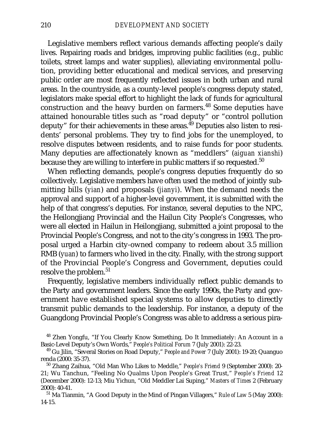Legislative members reflect various demands affecting people's daily lives. Repairing roads and bridges, improving public facilities (e.g., public toilets, street lamps and water supplies), alleviating environmental pollution, providing better educational and medical services, and preserving public order are most frequently reflected issues in both urban and rural areas. In the countryside, as a county-level people's congress deputy stated, legislators make special effort to highlight the lack of funds for agricultural construction and the heavy burden on farmers.<sup>48</sup> Some deputies have attained honourable titles such as "road deputy" or "control pollution deputy" for their achievements in these areas. $^{49}$  Deputies also listen to residents' personal problems. They try to find jobs for the unemployed, to resolve disputes between residents, and to raise funds for poor students. Many deputies are affectionately known as "meddlers" (*aiguan xianshi*) because they are willing to interfere in public matters if so requested.<sup>50</sup>

When reflecting demands, people's congress deputies frequently do so collectively. Legislative members have often used the method of jointly submitting bills (*yian*) and proposals (*jianyi*). When the demand needs the approval and support of a higher-level government, it is submitted with the help of that congress's deputies. For instance, several deputies to the NPC, the Heilongjiang Provincial and the Hailun City People's Congresses, who were all elected in Hailun in Heilongjiang, submitted a joint proposal to the Provincial People's Congress, and not to the city's congress in 1993. The proposal urged a Harbin city-owned company to redeem about 3.5 million RMB (*yuan*) to farmers who lived in the city. Finally, with the strong support of the Provincial People's Congress and Government, deputies could resolve the problem.<sup>51</sup>

Frequently, legislative members individually reflect public demands to the Party and government leaders. Since the early 1990s, the Party and government have established special systems to allow deputies to directly transmit public demands to the leadership. For instance, a deputy of the Guangdong Provincial People's Congress was able to address a serious pira-

<sup>48</sup> Zhen Yongfu, "If You Clearly Know Something, Do It Immediately: An Account in a Basic-Level Deputy's Own Words," *People's Political Forum* 7 (July 2001): 22-23.

<sup>51</sup> Ma Tianmin, "A Good Deputy in the Mind of Pingan Villagers," *Rule of Law* 5 (May 2000): 14-15.

<sup>49</sup> Gu Jilin, "Several Stories on Road Deputy," *People and Power* 7 (July 2001): 19-20; Quanguo renda (2000: 35-37).

<sup>50</sup> Zhang Zaihua, "Old Man Who Likes to Meddle," *People's Friend* 9 (September 2000): 20- 21; Wu Tanchun, "Feeling No Qualms Upon People's Great Trust," *People's Friend* 12 (December 2000): 12-13; Miu Yichun, "Old Meddler Lai Suping," *Masters of Times* 2 (February 2000): 40-41.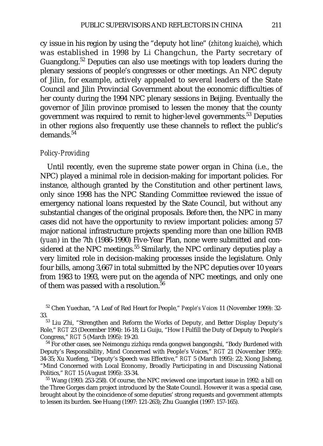cy issue in his region by using the "deputy hot line" (*zhitong kuaiche*), which was established in 1998 by Li Changchun, the Party secretary of Guangdong.52 Deputies can also use meetings with top leaders during the plenary sessions of people's congresses or other meetings. An NPC deputy of Jilin, for example, actively appealed to several leaders of the State Council and Jilin Provincial Government about the economic difficulties of her county during the 1994 NPC plenary sessions in Beijing. Eventually the governor of Jilin province promised to lessen the money that the county government was required to remit to higher-level governments.53 Deputies in other regions also frequently use these channels to reflect the public's demands.54

#### *Policy-Providing*

Until recently, even the supreme state power organ in China (i.e., the NPC) played a minimal role in decision-making for important policies. For instance, although granted by the Constitution and other pertinent laws, only since 1998 has the NPC Standing Committee reviewed the issue of emergency national loans requested by the State Council, but without any substantial changes of the original proposals. Before then, the NPC in many cases did not have the opportunity to review important policies: among 57 major national infrastructure projects spending more than one billion RMB (*yuan*) in the 7th (1986-1990) Five-Year Plan, none were submitted and considered at the NPC meetings.<sup>55</sup> Similarly, the NPC ordinary deputies play a very limited role in decision-making processes inside the legislature. Only four bills, among 3,667 in total submitted by the NPC deputies over 10 years from 1983 to 1993, were put on the agenda of NPC meetings, and only one of them was passed with a resolution. $56$ 

<sup>52</sup> Chen Yuechan, "A Leaf of Red Heart for People," *People's Voices* 11 (November 1999): 32- 33.<br> $33$  Liu Zhi, "Strengthen and Reform the Works of Deputy, and Better Display Deputy's

Role," *RGT* 23 (December 1994): 16-18; Li Guiju, "How I Fulfill the Duty of Deputy to People's Congress," *RGT* 5 (March 1995): 19-20.

<sup>54</sup> For other cases, see Neimongu zizhiqu renda gongwei bangongshi, "Body Burdened with Deputy's Responsibility, Mind Concerned with People's Voices," *RGT* 21 (November 1995): 34-35; Xu Xuefeng, "Deputy's Speech was Effective," *RGT* 5 (March 1995): 22; Xiong Jisheng, "Mind Concerned with Local Economy, Broadly Participating in and Discussing National Politics," *RGT* 15 (August 1995): 33-34.

<sup>55</sup> Wang (1993: 253-258). Of course, the NPC reviewed one important issue in 1992: a bill on the Three Gorges dam project introduced by the State Council. However it was a special case, brought about by the coincidence of some deputies' strong requests and government attempts to lessen its burden. See Huang (1997: 121-263); Zhu Guanglei (1997: 157-165).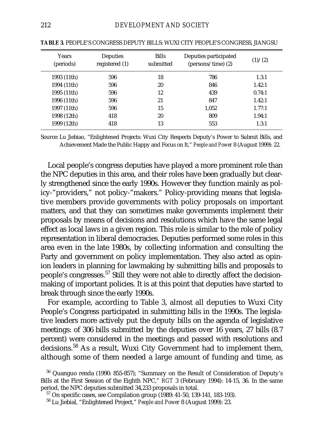| <b>Years</b><br>(periods) | Deputies<br>registered (1) | <b>Bills</b><br>submitted | Deputies participated<br>$(\text{persons}/\text{time})$ (2) | (1)/(2) |
|---------------------------|----------------------------|---------------------------|-------------------------------------------------------------|---------|
| 1993 (11th)               | 596                        | 18                        | 786                                                         | 1.3:1   |
| 1994 (11th)               | 596                        | 20                        | 846                                                         | 1.42:1  |
| 1995 (11th)               | 596                        | 12                        | 439                                                         | 0.74:1  |
| 1996 (11th)               | 596                        | 21                        | 847                                                         | 1.42:1  |
| 1997 (11th)               | 596                        | 15                        | 1.052                                                       | 1.77:1  |
| 1998 (12th)               | 418                        | 20                        | 809                                                         | 1.94:1  |
| 1999 (12th)               | 418                        | 13                        | 553                                                         | 1.3:1   |

**TABLE 3.** PEOPLE'S CONGRESS DEPUTY BILLS: WUXI CITY PEOPLE'S CONGRESS, JIANGSU

Source: Lu Jiebiao, "Enlightened Projects: Wuxi City Respects Deputy's Power to Submit Bills, and Achievement Made the Public Happy and Focus on It," *People and Power* 8 (August 1999): 22.

Local people's congress deputies have played a more prominent role than the NPC deputies in this area, and their roles have been gradually but clearly strengthened since the early 1990s. However they function mainly as policy-"providers," not policy-"makers." Policy-providing means that legislative members provide governments with policy proposals on important matters, and that they can sometimes make governments implement their proposals by means of decisions and resolutions which have the same legal effect as local laws in a given region. This role is similar to the role of policy representation in liberal democracies. Deputies performed some roles in this area even in the late 1980s, by collecting information and consulting the Party and government on policy implementation. They also acted as opinion leaders in planning for lawmaking by submitting bills and proposals to people's congresses.57 Still they were not able to directly affect the decisionmaking of important policies. It is at this point that deputies have started to break through since the early 1990s.

For example, according to Table 3, almost all deputies to Wuxi City People's Congress participated in submitting bills in the 1990s. The legislative leaders more actively put the deputy bills on the agenda of legislative meetings: of 306 bills submitted by the deputies over 16 years, 27 bills (8.7 percent) were considered in the meetings and passed with resolutions and decisions.<sup>58</sup> As a result, Wuxi City Government had to implement them, although some of them needed a large amount of funding and time, as

<sup>56</sup> Quanguo renda (1990: 855-857); "Summary on the Result of Consideration of Deputy's Bills at the First Session of the Eighth NPC," *RGT* 3 (February 1994): 14-15, 36. In the same period, the NPC deputies submitted 34,233 proposals in total.

<sup>57</sup> On specific cases, see Compilation group (1989: 41-50, 139-141, 183-193).

<sup>58</sup> Lu Jiebial, "Enlightened Project," *People and Power* 8 (August 1999): 23.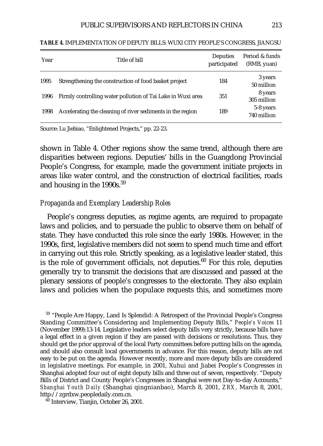| Year | Title of bill                                               | Deputies<br>participated | Period & funds<br>(RMB, yuan) |
|------|-------------------------------------------------------------|--------------------------|-------------------------------|
| 1995 | Strengthening the construction of food basket project       | 184                      | 3 years<br>50 million         |
| 1996 | Firmly controlling water pollution of Tai Lake in Wuxi area | 351                      | 8 years<br>305 million        |
| 1998 | Accelerating the cleaning of river sediments in the region  | 189                      | 5-8 years<br>740 million      |

**TABLE 4.** IMPLEMENTATION OF DEPUTY BILLS: WUXI CITY PEOPLE'S CONGRESS, JIANGSU

Source: Lu Jiebiao, "Enlightened Projects," pp. 22-23.

shown in Table 4. Other regions show the same trend, although there are disparities between regions. Deputies' bills in the Guangdong Provincial People's Congress, for example, made the government initiate projects in areas like water control, and the construction of electrical facilities, roads and housing in the 1990s.<sup>59</sup>

## *Propaganda and Exemplary Leadership Roles*

People's congress deputies, as regime agents, are required to propagate laws and policies, and to persuade the public to observe them on behalf of state. They have conducted this role since the early 1980s. However, in the 1990s, first, legislative members did not seem to spend much time and effort in carrying out this role. Strictly speaking, as a legislative leader stated, this is the role of government officials, not deputies.<sup>60</sup> For this role, deputies generally try to transmit the decisions that are discussed and passed at the plenary sessions of people's congresses to the electorate. They also explain laws and policies when the populace requests this, and sometimes more

<sup>59</sup> "People Are Happy, Land Is Splendid: A Retrospect of the Provincial People's Congress Standing Committee's Considering and Implementing Deputy Bills," *People's Voices* 11 (November 1999):13-14. Legislative leaders select deputy bills very strictly, because bills have a legal effect in a given region if they are passed with decisions or resolutions. Thus, they should get the prior approval of the local Party committees before putting bills on the agenda, and should also consult local governments in advance. For this reason, deputy bills are not easy to be put on the agenda. However recently, more and more deputy bills are considered in legislative meetings. For example, in 2001, Xuhui and Jiabei People's Congresses in Shanghai adopted four out of eight deputy bills and three out of seven, respectively. "Deputy Bills of District and County People's Congresses in Shanghai were not Day-to-day Accounts," *Shanghai Youth Daily* (Shanghai qingnianbao), March 8, 2001, *ZRX*, March 8, 2001, http://zgrdxw.peopledaily.com.cn.

<sup>60</sup> Interview, Tianjin, October 26, 2001.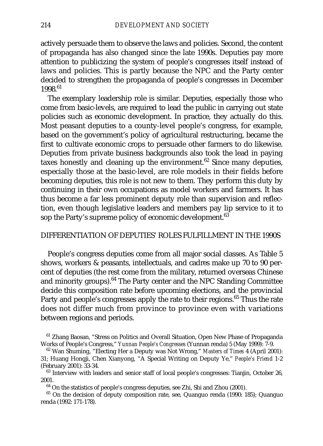actively persuade them to observe the laws and policies. Second, the content of propaganda has also changed since the late 1990s. Deputies pay more attention to publicizing the system of people's congresses itself instead of laws and policies. This is partly because the NPC and the Party center decided to strengthen the propaganda of people's congresses in December 1998.61

The exemplary leadership role is similar. Deputies, especially those who come from basic-levels, are required to lead the public in carrying out state policies such as economic development. In practice, they actually do this. Most peasant deputies to a county-level people's congress, for example, based on the government's policy of agricultural restructuring, became the first to cultivate economic crops to persuade other farmers to do likewise. Deputies from private business backgrounds also took the lead in paying taxes honestly and cleaning up the environment. $62$  Since many deputies, especially those at the basic-level, are role models in their fields before becoming deputies, this role is not new to them. They perform this duty by continuing in their own occupations as model workers and farmers. It has thus become a far less prominent deputy role than supervision and reflection, even though legislative leaders and members pay lip service to it to sop the Party's supreme policy of economic development.<sup>63</sup>

### DIFFERENTIATION OF DEPUTIES' ROLES FULFILLMENT IN THE 1990S

People's congress deputies come from all major social classes. As Table 5 shows, workers & peasants, intellectuals, and cadres make up 70 to 90 percent of deputies (the rest come from the military, returned overseas Chinese and minority groups).<sup>64</sup> The Party center and the NPC Standing Committee decide this composition rate before upcoming elections, and the provincial Party and people's congresses apply the rate to their regions.<sup>65</sup> Thus the rate does not differ much from province to province even with variations between regions and periods.

<sup>61</sup> Zhang Baosan, "Stress on Politics and Overall Situation, Open New Phase of Propaganda Works of People's Congress," *Yunnan People's Congresses* (Yunnan renda) 5 (May 1999): 7-9.

<sup>63</sup> Interview with leaders and senior staff of local people's congresses: Tianjin, October 26, 2001.

<sup>64</sup> On the statistics of people's congress deputies, see Zhi, Shi and Zhou (2001).

<sup>65</sup> On the decision of deputy composition rate, see, Quanguo renda (1990: 185); Quanguo renda (1992: 171-178).

<sup>62</sup> Wan Shuming, "Electing Her a Deputy was Not Wrong," *Masters of Times* 4 (April 2001): 31; Huang Hongji, Chen Xianyong, "A Special Writing on Deputy Ye," *People's Friend* 1-2 (February 2001): 33-34.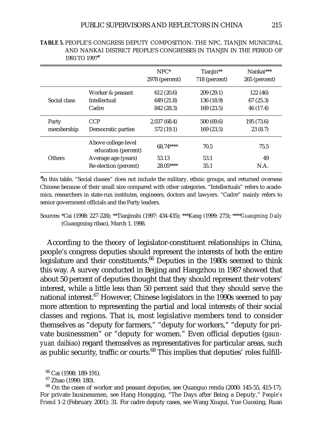|               |                                            | $NPC^*$<br>2978 (percent) | Tianjin**<br>718 (percent) | Nankai***<br>265 (percent) |
|---------------|--------------------------------------------|---------------------------|----------------------------|----------------------------|
|               | Worker & peasant                           | 612 (20.6)                | 209(29.1)                  | 122 (46)                   |
| Social class  | Intellectual                               | 649 (21.8)                | 136 (18.9)                 | 67 (25.3)                  |
|               | Cadre                                      | 842 (28.3)                | 169(23.5)                  | 46 (17.4)                  |
| Party         | <b>CCP</b>                                 | 2,037(68.4)               | 500 (69.6)                 | 195 (73.6)                 |
| membership    | Democratic parties                         | 572 (19.1)                | 169(23.5)                  | 23(8.7)                    |
|               | Above college-level<br>education (percent) | 68.74****                 | 70.5                       | 75.5                       |
| <b>Others</b> | Average age (years)                        | 53.13                     | 53.1                       | 49                         |
|               | Re-election (percent)                      | $28.05***$                | 35.1                       | N.A.                       |

**TABLE 5.** PEOPLE'S CONGRESS DEPUTY COMPOSITION: THE NPC, TIANJIN MUNICIPAL AND NANKAI DISTRICT PEOPLE'S CONGRESSES IN TIANJIN IN THE PERIOD OF 1993 TO 1997#

# In this table, "Social classes" does not include the military, ethnic groups, and returned overseas Chinese because of their small size compared with other categories. "Intellectuals" refers to academics, researchers in state-run institutes, engineers, doctors and lawyers. "Cadre" mainly refers to senior government officials and the Party leaders.

According to the theory of legislator-constituent relationships in China, people's congress deputies should represent the interests of both the entire legislature and their constituents. $66$  Deputies in the 1980s seemed to think this way. A survey conducted in Beijing and Hangzhou in 1987 showed that about 50 percent of deputies thought that they should represent their voters' interest, while a little less than 50 percent said that they should serve the national interest.<sup>67</sup> However, Chinese legislators in the 1990s seemed to pay more attention to representing the partial and local interests of their social classes and regions. That is, most legislative members tend to consider themselves as "deputy for farmers," "deputy for workers," "deputy for private businessmen" or "deputy for women." Even official deputies (*gaunyuan daibiao*) regard themselves as representatives for particular areas, such as public security, traffic or courts.<sup>68</sup> This implies that deputies' roles fulfill-

Sources: \*Cai (1998: 227-228); \*\*Tianjinshi (1997: 434-435); \*\*\*Kang (1999: 273); \*\*\*\**Guangming Daily* (Guangming ribao), March 1, 1998.

<sup>66</sup> Cai (1998: 189-191).

<sup>67</sup> Zhao (1990: 180).

<sup>68</sup> On the cases of worker and peasant deputies, see Quanguo renda (2000: 145-55, 415-17). For private businessmen, see Hang Hongqing, "The Days after Being a Deputy," *People's Friend* 1-2 (February 2001): 31. For cadre deputy cases, see Wang Xiugui, Yue Guoxing, Ruan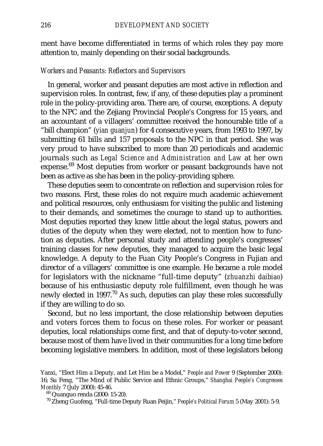ment have become differentiated in terms of which roles they pay more attention to, mainly depending on their social backgrounds.

### *Workers and Peasants: Reflectors and Supervisors*

In general, worker and peasant deputies are most active in reflection and supervision roles. In contrast, few, if any, of these deputies play a prominent role in the policy-providing area. There are, of course, exceptions. A deputy to the NPC and the Zejiang Provincial People's Congress for 15 years, and an accountant of a villagers' committee received the honourable title of a "bill champion" (*yian guanjun*) for 4 consecutive years, from 1993 to 1997, by submitting 61 bills and 157 proposals to the NPC in that period. She was very proud to have subscribed to more than 20 periodicals and academic journals such as *Legal Science and Administration and Law* at her own expense.<sup>69</sup> Most deputies from worker or peasant backgrounds have not been as active as she has been in the policy-providing sphere.

These deputies seem to concentrate on reflection and supervision roles for two reasons. First, these roles do not require much academic achievement and political resources, only enthusiasm for visiting the public and listening to their demands, and sometimes the courage to stand up to authorities. Most deputies reported they knew little about the legal status, powers and duties of the deputy when they were elected, not to mention how to function as deputies. After personal study and attending people's congresses' training classes for new deputies, they managed to acquire the basic legal knowledge. A deputy to the Fuan City People's Congress in Fujian and director of a villagers' committee is one example. He became a role model for legislators with the nickname "full-time deputy" (*zhuanzhi daibiao*) because of his enthusiastic deputy role fulfillment, even though he was newly elected in 1997.<sup>70</sup> As such, deputies can play these roles successfully if they are willing to do so.

Second, but no less important, the close relationship between deputies and voters forces them to focus on these roles. For worker or peasant deputies, local relationships come first, and that of deputy-to-voter second, because most of them have lived in their communities for a long time before becoming legislative members. In addition, most of these legislators belong

Yanxi, "Elect Him a Deputy, and Let Him be a Model," *People and Power* 9 (September 2000): 16; Su Feng, "The Mind of Public Service and Ethnic Groups," *Shanghai People's Congresses Monthly* 7 (July 2000): 45-46.

<sup>69</sup> Quanguo renda (2000: 15-20).

<sup>70</sup> Zheng Guofeng, "Full-time Deputy Ruan Peijin," *People's Political Forum* 5 (May 2001): 5-9.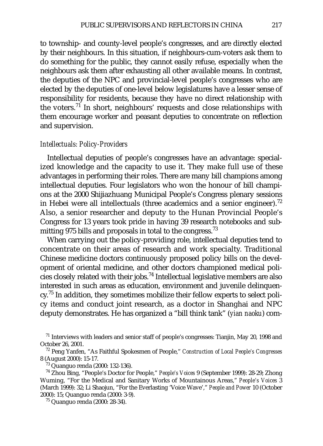to township- and county-level people's congresses, and are directly elected by their neighbours. In this situation, if neighbours-cum-voters ask them to do something for the public, they cannot easily refuse, especially when the neighbours ask them after exhausting all other available means. In contrast, the deputies of the NPC and provincial-level people's congresses who are elected by the deputies of one-level below legislatures have a lesser sense of responsibility for residents, because they have no direct relationship with the voters.<sup>71</sup> In short, neighbours' requests and close relationships with them encourage worker and peasant deputies to concentrate on reflection and supervision.

#### *Intellectuals: Policy-Providers*

Intellectual deputies of people's congresses have an advantage: specialized knowledge and the capacity to use it. They make full use of these advantages in performing their roles. There are many bill champions among intellectual deputies. Four legislators who won the honour of bill champions at the 2000 Shijiazhuang Municipal People's Congress plenary sessions in Hebei were all intellectuals (three academics and a senior engineer).<sup>72</sup> Also, a senior researcher and deputy to the Hunan Provincial People's Congress for 13 years took pride in having 39 research notebooks and submitting 975 bills and proposals in total to the congress.<sup>73</sup>

When carrying out the policy-providing role, intellectual deputies tend to concentrate on their areas of research and work specialty. Traditional Chinese medicine doctors continuously proposed policy bills on the development of oriental medicine, and other doctors championed medical policies closely related with their jobs.74 Intellectual legislative members are also interested in such areas as education, environment and juvenile delinquency.<sup>75</sup> In addition, they sometimes mobilize their fellow experts to select policy items and conduct joint research, as a doctor in Shanghai and NPC deputy demonstrates. He has organized a "bill think tank" (*yian naoku*) com-

 $71$  Interviews with leaders and senior staff of people's congresses: Tianjin, May 20, 1998 and October 26, 2001.

<sup>72</sup> Peng Yanfen, "As Faithful Spokesmen of People," *Construction of Local People's Congresses* 8 (August 2000): 15-17.

<sup>73</sup> Quanguo renda (2000: 132-136).

<sup>74</sup> Zhou Bing, "People's Doctor for People," *People's Voices* 9 (September 1999): 28-29; Zhong Wuming, "For the Medical and Sanitary Works of Mountainous Areas," *People's Voices* 3 (March 1999): 32; Li Shaojun, "For the Everlasting 'Voice Wave'," *People and Power* 10 (October 2000): 15; Quanguo renda (2000: 3-9).

<sup>75</sup> Quanguo renda (2000: 28-34).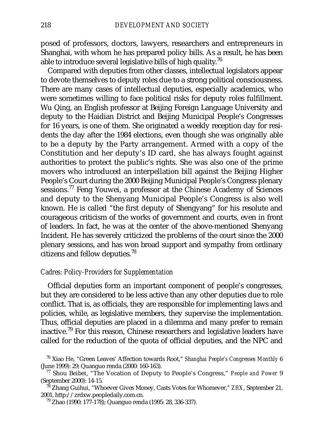posed of professors, doctors, lawyers, researchers and entrepreneurs in Shanghai, with whom he has prepared policy bills. As a result, he has been able to introduce several legislative bills of high quality.<sup>76</sup>

Compared with deputies from other classes, intellectual legislators appear to devote themselves to deputy roles due to a strong political consciousness. There are many cases of intellectual deputies, especially academics, who were sometimes willing to face political risks for deputy roles fulfillment. Wu Qing, an English professor at Beijing Foreign Language University and deputy to the Haidian District and Beijing Municipal People's Congresses for 16 years, is one of them. She originated a weekly reception day for residents the day after the 1984 elections, even though she was originally able to be a deputy by the Party arrangement. Armed with a copy of the Constitution and her deputy's ID card, she has always fought against authorities to protect the public's rights. She was also one of the prime movers who introduced an interpellation bill against the Beijing Higher People's Court during the 2000 Beijing Municipal People's Congress plenary sessions.<sup>77</sup> Feng Youwei, a professor at the Chinese Academy of Sciences and deputy to the Shenyang Municipal People's Congress is also well known. He is called "the first deputy of Shengyang" for his resolute and courageous criticism of the works of government and courts, even in front of leaders. In fact, he was at the center of the above-mentioned Shenyang Incident. He has severely criticized the problems of the court since the 2000 plenary sessions, and has won broad support and sympathy from ordinary citizens and fellow deputies.<sup>78</sup>

# *Cadres: Policy-Providers for Supplementation*

Official deputies form an important component of people's congresses, but they are considered to be less active than any other deputies due to role conflict. That is, as officials, they are responsible for implementing laws and policies, while, as legislative members, they supervise the implementation. Thus, official deputies are placed in a dilemma and many prefer to remain inactive.79 For this reason, Chinese researchers and legislative leaders have called for the reduction of the quota of official deputies, and the NPC and

<sup>76</sup> Xiao He, "Green Leaves' Affection towards Root," *Shanghai People's Congresses Monthly* 6 (June 1999): 29; Quanguo renda (2000: 160-163).

<sup>77</sup> Shou Beibei, "The Vocation of Deputy to People's Congress," *People and Power* 9 (September 2000): 14-15.

<sup>78</sup> Zhang Guihui, "Whoever Gives Money, Casts Votes for Whomever," *ZRX*, September 21, 2001, http://zrdxw.peopledaily.com.cn.

<sup>79</sup> Zhao (1990: 177-178); Quanguo renda (1995: 28, 336-337).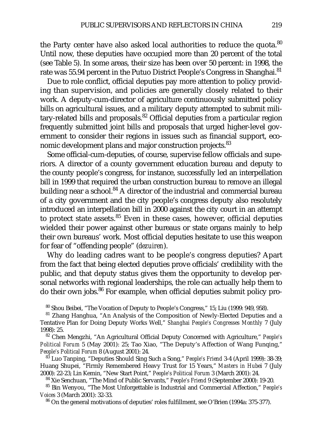the Party center have also asked local authorities to reduce the quota.<sup>80</sup> Until now, these deputies have occupied more than 20 percent of the total (see Table 5). In some areas, their size has been over 50 percent: in 1998, the rate was 55.94 percent in the Putuo District People's Congress in Shanghai.<sup>81</sup>

Due to role conflict, official deputies pay more attention to policy providing than supervision, and policies are generally closely related to their work. A deputy-cum-director of agriculture continuously submitted policy bills on agricultural issues, and a military deputy attempted to submit military-related bills and proposals.<sup>82</sup> Official deputies from a particular region frequently submitted joint bills and proposals that urged higher-level government to consider their regions in issues such as financial support, economic development plans and major construction projects.<sup>83</sup>

Some official-cum-deputies, of course, supervise fellow officials and superiors. A director of a county government education bureau and deputy to the county people's congress, for instance, successfully led an interpellation bill in 1999 that required the urban construction bureau to remove an illegal building near a school. $84$  A director of the industrial and commercial bureau of a city government and the city people's congress deputy also resolutely introduced an interpellation bill in 2000 against the city court in an attempt to protect state assets. $85$  Even in these cases, however, official deputies wielded their power against other bureaus or state organs mainly to help their own bureaus' work. Most official deputies hesitate to use this weapon for fear of "offending people" (*dezuiren*).

Why do leading cadres want to be people's congress deputies? Apart from the fact that being elected deputies prove officials' credibility with the public, and that deputy status gives them the opportunity to develop personal networks with regional leaderships, the role can actually help them to do their own jobs.<sup>86</sup> For example, when official deputies submit policy pro-

<sup>80</sup> Shou Beibei, "The Vocation of Deputy to People's Congress," 15; Liu (1999: 949, 958).

<sup>81</sup> Zhang Hanghua, "An Analysis of the Composition of Newly-Elected Deputies and a Tentative Plan for Doing Deputy Works Well," *Shanghai People's Congresses Monthly* 7 (July 1998): 25.

<sup>82</sup> Chen Mengzhi, "An Agricultural Official Deputy Concerned with Agriculture," *People's Political Forum* 5 (May 2001): 25; Tao Xiao, "The Deputy's Affection of Wang Funqing," *People's Political Forum* 8 (August 2001): 24.

<sup>83</sup> Luo Tanping, "Deputies Should Sing Such a Song," *People's Friend* 3-4 (April 1999): 38-39; Huang Shupei, "Firmly Remembered Heavy Trust for 15 Years," *Masters in Hube*i 7 (July 2000): 22-23; Lin Kemin, "New Start Point," *People's Political Forum* 3 (March 2001): 24.

<sup>84</sup> Xie Senchuan, "The Mind of Public Servants," *People's Friend* 9 (September 2000): 19-20.

<sup>85</sup> Bin Wenyou, "The Most Unforgettable is Industrial and Commercial Affection," *People's Voices* 3 (March 2001): 32-33.

<sup>86</sup> On the general motivations of deputies' roles fulfillment, see O'Brien (1994a: 375-377).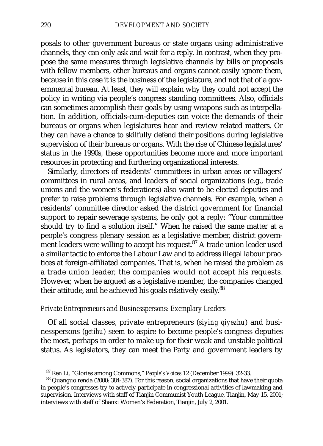posals to other government bureaus or state organs using administrative channels, they can only ask and wait for a reply. In contrast, when they propose the same measures through legislative channels by bills or proposals with fellow members, other bureaus and organs cannot easily ignore them, because in this case it is the business of the legislature, and not that of a governmental bureau. At least, they will explain why they could not accept the policy in writing via people's congress standing committees. Also, officials can sometimes accomplish their goals by using weapons such as interpellation. In addition, officials-cum-deputies can voice the demands of their bureaus or organs when legislatures hear and review related matters. Or they can have a chance to skilfully defend their positions during legislative supervision of their bureaus or organs. With the rise of Chinese legislatures' status in the 1990s, these opportunities become more and more important resources in protecting and furthering organizational interests.

Similarly, directors of residents' committees in urban areas or villagers' committees in rural areas, and leaders of social organizations (e.g., trade unions and the women's federations) also want to be elected deputies and prefer to raise problems through legislative channels. For example, when a residents' committee director asked the district government for financial support to repair sewerage systems, he only got a reply: "Your committee should try to find a solution itself." When he raised the same matter at a people's congress plenary session as a legislative member, district government leaders were willing to accept his request. $87$  A trade union leader used a similar tactic to enforce the Labour Law and to address illegal labour practices at foreign-affiliated companies. That is, when he raised the problem as a trade union leader, the companies would not accept his requests. However, when he argued as a legislative member, the companies changed their attitude, and he achieved his goals relatively easily.<sup>88</sup>

## *Private Entrepreneurs and Businesspersons: Exemplary Leaders*

Of all social classes, private entrepreneurs (*siying qiyezhu*) and businesspersons (*getihu*) seem to aspire to become people's congress deputies the most, perhaps in order to make up for their weak and unstable political status. As legislators, they can meet the Party and government leaders by

<sup>87</sup> Ren Li, "Glories among Commons," *People's Voices* 12 (December 1999): 32-33.

<sup>88</sup> Quanguo renda (2000: 384-387). For this reason, social organizations that have their quota in people's congresses try to actively participate in congressional activities of lawmaking and supervision. Interviews with staff of Tianjin Communist Youth League, Tianjin, May 15, 2001; interviews with staff of Shanxi Women's Federation, Tianjin, July 2, 2001.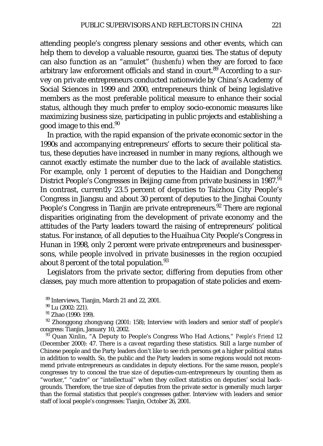attending people's congress plenary sessions and other events, which can help them to develop a valuable resource, guanxi ties. The status of deputy can also function as an "amulet" (*hushenfu*) when they are forced to face arbitrary law enforcement officials and stand in court.<sup>89</sup> According to a survey on private entrepreneurs conducted nationwide by China's Academy of Social Sciences in 1999 and 2000, entrepreneurs think of being legislative members as the most preferable political measure to enhance their social status, although they much prefer to employ socio-economic measures like maximizing business size, participating in public projects and establishing a good image to this end. $90$ 

In practice, with the rapid expansion of the private economic sector in the 1990s and accompanying entrepreneurs' efforts to secure their political status, these deputies have increased in number in many regions, although we cannot exactly estimate the number due to the lack of available statistics. For example, only 1 percent of deputies to the Haidian and Dongcheng District People's Congresses in Beijing came from private business in 1987.<sup>91</sup> In contrast, currently 23.5 percent of deputies to Taizhou City People's Congress in Jiangsu and about 30 percent of deputies to the Jinghai County People's Congress in Tianjin are private entrepreneurs.<sup>92</sup> There are regional disparities originating from the development of private economy and the attitudes of the Party leaders toward the raising of entrepreneurs' political status. For instance, of all deputies to the Huaihua City People's Congress in Hunan in 1998, only 2 percent were private entrepreneurs and businesspersons, while people involved in private businesses in the region occupied about 8 percent of the total population.<sup>93</sup>

Legislators from the private sector, differing from deputies from other classes, pay much more attention to propagation of state policies and exem-

<sup>91</sup> Zhao (1990: 199).<br><sup>92</sup> Zhonggong zhongyang (2001: 158); Interview with leaders and senior staff of people's congress: Tianjin, January 10, 2002.

<sup>93</sup> Quan Xinlin, "A Deputy to People's Congress Who Had Actions," *People's Friend* 12 (December 2000): 47. There is a caveat regarding these statistics. Still a large number of Chinese people and the Party leaders don't like to see rich persons get a higher political status in addition to wealth. So, the public and the Party leaders in some regions would not recommend private entrepreneurs as candidates in deputy elections. For the same reason, people's congresses try to conceal the true size of deputies-cum-entrepreneurs by counting them as "worker," "cadre" or "intellectual" when they collect statistics on deputies' social backgrounds. Therefore, the true size of deputies from the private sector is generally much larger than the formal statistics that people's congresses gather. Interview with leaders and senior staff of local people's congresses: Tianjin, October 26, 2001.

 $^{89}$  Interviews, Tianjin, March 21 and 22, 2001.<br> $^{90}$  Lu (2002: 221).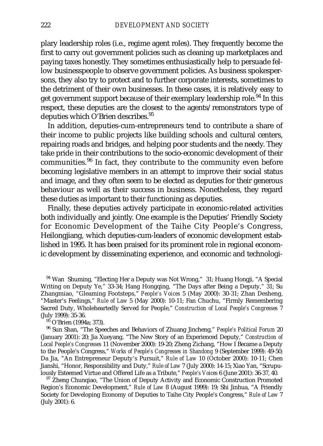plary leadership roles (i.e., regime agent roles). They frequently become the first to carry out government policies such as cleaning up marketplaces and paying taxes honestly. They sometimes enthusiastically help to persuade fellow businesspeople to observe government policies. As business spokespersons, they also try to protect and to further corporate interests, sometimes to the detriment of their own businesses. In these cases, it is relatively easy to get government support because of their exemplary leadership role.<sup>94</sup> In this respect, these deputies are the closest to the agents/remonstrators type of deputies which O'Brien describes.<sup>95</sup>

In addition, deputies-cum-entrepreneurs tend to contribute a share of their income to public projects like building schools and cultural centers, repairing roads and bridges, and helping poor students and the needy. They take pride in their contributions to the socio-economic development of their communities.<sup>96</sup> In fact, they contribute to the community even before becoming legislative members in an attempt to improve their social status and image, and they often seem to be elected as deputies for their generous behaviour as well as their success in business. Nonetheless, they regard these duties as important to their functioning as deputies.

Finally, these deputies actively participate in economic-related activities both individually and jointly. One example is the Deputies' Friendly Society for Economic Development of the Taihe City People's Congress, Heilongjiang, which deputies-cum-leaders of economic development established in 1995. It has been praised for its prominent role in regional economic development by disseminating experience, and economic and technologi-

<sup>94</sup> Wan Shuming, "Electing Her a Deputy was Not Wrong," 31; Huang Hongji, "A Special Writing on Deputy Ye," 33-34; Hang Hongqing, "The Days after Being a Deputy," 31; Su Zhangmiao, "Gleaming Footsteps," *People's Voices* 5 (May 2000): 30-31; Zhan Desheng, "Master's Feelings," *Rule of Law* 5 (May 2000): 10-11; Fan Chuchu, "Firmly Remembering Sacred Duty, Wholeheartedly Served for People," *Construction of Local People's Congresses* 7 (July 1999): 35-36.

<sup>95</sup> O'Brien (1994a: 373).

<sup>96</sup> Sun Shan, "The Speeches and Behaviors of Zhuang Jincheng," *People's Political Forum* 20 (January 2001): 20; Jia Xueyang, "The New Story of an Experienced Deputy," *Construction of Local People's Congresses* 11 (November 2000): 19-20; Zheng Zichang, "How I Became a Deputy to the People's Congress," *Works of People's Congresses in Shandong* 9 (September 1999): 49-50; Da Jia, "An Entrepreneur Deputy's Pursuit," *Rule of Law* 10 (October 2000): 10-11; Chen Jianshi, "Honor, Responsibility and Duty," *Rule of Law* 7 (July 2000): 14-15; Xiao Yan, "Scrupulously Esteemed Virtue and Offered Life as a Tribute," *People's Voices* 6 (June 2001): 36-37, 40.

 $97$  Zheng Chunqiao, "The Union of Deputy Activity and Economic Construction Promoted Region's Economic Development," *Rule of Law* 8 (August 1999): 19; Shi Jinhua, "A Friendly Society for Developing Economy of Deputies to Taihe City People's Congress," *Rule of Law* 7 (July 2001): 6.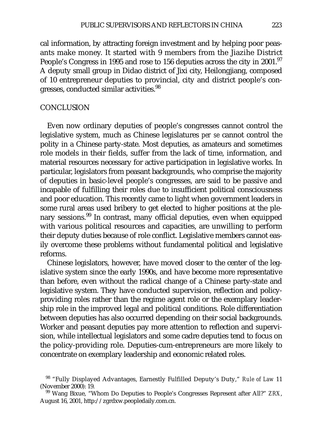cal information, by attracting foreign investment and by helping poor peasants make money. It started with 9 members from the Jiazihe District People's Congress in 1995 and rose to 156 deputies across the city in 2001.<sup>97</sup> A deputy small group in Didao district of Jixi city, Heilongjiang, composed of 10 entrepreneur deputies to provincial, city and district people's congresses, conducted similar activities.<sup>98</sup>

### **CONCLUSION**

Even now ordinary deputies of people's congresses cannot control the legislative system, much as Chinese legislatures *per se* cannot control the polity in a Chinese party-state. Most deputies, as amateurs and sometimes role models in their fields, suffer from the lack of time, information, and material resources necessary for active participation in legislative works. In particular, legislators from peasant backgrounds, who comprise the majority of deputies in basic-level people's congresses, are said to be passive and incapable of fulfilling their roles due to insufficient political consciousness and poor education. This recently came to light when government leaders in some rural areas used bribery to get elected to higher positions at the plenary sessions.<sup>99</sup> In contrast, many official deputies, even when equipped with various political resources and capacities, are unwilling to perform their deputy duties because of role conflict. Legislative members cannot easily overcome these problems without fundamental political and legislative reforms.

Chinese legislators, however, have moved closer to the center of the legislative system since the early 1990s, and have become more representative than before, even without the radical change of a Chinese party-state and legislative system. They have conducted supervision, reflection and policyproviding roles rather than the regime agent role or the exemplary leadership role in the improved legal and political conditions. Role differentiation between deputies has also occurred depending on their social backgrounds. Worker and peasant deputies pay more attention to reflection and supervision, while intellectual legislators and some cadre deputies tend to focus on the policy-providing role. Deputies-cum-entrepreneurs are more likely to concentrate on exemplary leadership and economic related roles.

<sup>98</sup> "Fully Displayed Advantages, Earnestly Fulfilled Deputy's Duty," *Rule of Law* 11 (November 2000): 19.

<sup>99</sup> Wang Bixue, "Whom Do Deputies to People's Congresses Represent after All?" *ZRX*, August 16, 2001, http://zgrdxw.peopledaily.com.cn.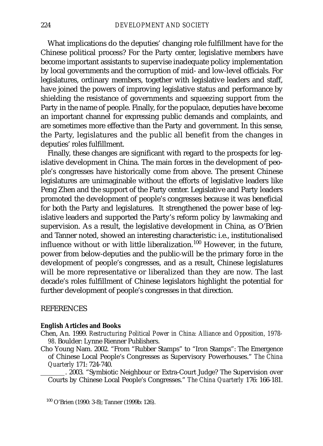What implications do the deputies' changing role fulfillment have for the Chinese political process? For the Party center, legislative members have become important assistants to supervise inadequate policy implementation by local governments and the corruption of mid- and low-level officials. For legislatures, ordinary members, together with legislative leaders and staff, have joined the powers of improving legislative status and performance by shielding the resistance of governments and squeezing support from the Party in the name of people. Finally, for the populace, deputies have become an important channel for expressing public demands and complaints, and are sometimes more effective than the Party and government. In this sense, the Party, legislatures and the public all benefit from the changes in deputies' roles fulfillment.

Finally, these changes are significant with regard to the prospects for legislative development in China. The main forces in the development of people's congresses have historically come from above. The present Chinese legislatures are unimaginable without the efforts of legislative leaders like Peng Zhen and the support of the Party center. Legislative and Party leaders promoted the development of people's congresses because it was beneficial for both the Party and legislatures. It strengthened the power base of legislative leaders and supported the Party's reform policy by lawmaking and supervision. As a result, the legislative development in China, as O'Brien and Tanner noted, showed an interesting characteristic: i.e., institutionalised influence without or with little liberalization.<sup>100</sup> However, in the future, power from below-deputies and the public-will be the primary force in the development of people's congresses, and as a result, Chinese legislatures will be more representative or liberalized than they are now. The last decade's roles fulfillment of Chinese legislators highlight the potential for further development of people's congresses in that direction.

#### **REFERENCES**

#### **English Articles and Books**

- Chen, An. 1999. *Restructuring Political Power in China: Alliance and Opposition, 1978- 98*. Boulder: Lynne Rienner Publishers.
- Cho Young Nam. 2002. "From "Rubber Stamps" to "Iron Stamps": The Emergence of Chinese Local People's Congresses as Supervisory Powerhouses." *The China Quarterly* 171: 724-740.

. 2003. "Symbiotic Neighbour or Extra-Court Judge? The Supervision over Courts by Chinese Local People's Congresses." *The China Quarterly* 176: 166-181.

<sup>100</sup> O'Brien (1990: 3-8); Tanner (1999b: 126).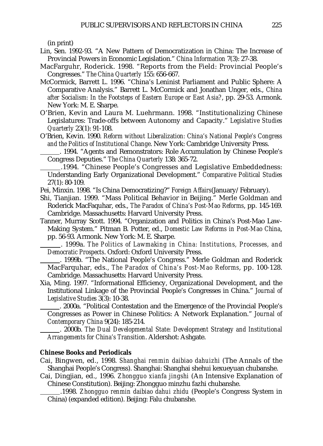(in print)

- Lin, Sen. 1992-93. "A New Pattern of Democratization in China: The Increase of Provincial Powers in Economic Legislation." *China Information* 7(3): 27-38.
- MacFarguhr, Roderick. 1998. "Reports from the Field: Provincial People's Congresses." *The China Quarterly* 155: 656-667.
- McCormick, Barrett L. 1996. "China's Leninist Parliament and Public Sphere: A Comparative Analysis." Barrett L. McCormick and Jonathan Unger, eds., *China after Socialism: In the Footsteps of Eastern Europe or East Asia?*, pp. 29-53. Armonk. New York: M. E. Sharpe.
- O'Brien, Kevin and Laura M. Luehrmann. 1998. "Institutionalizing Chinese Legislatures: Trade-offs between Autonomy and Capacity." *Legislative Studies Quarterly* 23(1): 91-108.
- O'Brien, Kevin. 1990. *Reform without Liberalization: China's National People's Congress and the Politics of Institutional Change*. New York: Cambridge University Press.

. 1994. "Agents and Remonstrators: Role Accumulation by Chinese People's Congress Deputies." *The China Quarterly* 138: 365-72.

.1994. "Chinese People's Congresses and Legislative Embeddedness: Understanding Early Organizational Development." *Comparative Political Studies* 27(1): 80-109.

- Pei, Minxin. 1998. "Is China Democratizing?" *Foreign Affairs*(January/February).
- Shi, Tianjian. 1999. "Mass Political Behavior in Beijing." Merle Goldman and Roderick MacFaquhar, eds., *The Paradox of China's Post-Mao Reforms*, pp. 145-169. Cambridge. Massachusetts: Harvard University Press.
- Tanner, Murray Scott. 1994. "Organization and Politics in China's Post-Mao Law-Making System." Pitman B. Potter, ed., *Domestic Law Reforms in Post-Mao China*, pp. 56-93. Armonk. New York: M. E. Sharpe.

. 1999a. *The Politics of Lawmaking in China: Institutions, Processes, and Democratic Prospects*. Oxford: Oxford University Press.

. 1999b. "The National People's Congress." Merle Goldman and Roderick MacFarquhar, eds., *The Paradox of China's Post-Mao Reforms*, pp. 100-128. Cambridge. Massachusetts: Harvard University Press.

Xia, Ming. 1997. "Informational Efficiency, Organizational Development, and the Institutional Linkage of the Provincial People's Congresses in China." *Journal of Legislative Studies* 3(3): 10-38.

. 2000a. "Political Contestation and the Emergence of the Provincial People's Congresses as Power in Chinese Politics: A Network Explanation." *Journal of Contemporary China* 9(24): 185-214.

. 2000b. *The Dual Developmental State: Development Strategy and Institutional Arrangements for China's Transition*. Aldershot: Ashgate.

#### **Chinese Books and Periodicals**

Cai, Bingwen, ed., 1998. *Shanghai renmin daibiao dahuizhi* (The Annals of the Shanghai People's Congress). Shanghai: Shanghai shehui kexueyuan chubanshe.

Cai, Dingjian, ed., 1996. *Zhongguo xianfa jingshi* (An Intensive Explanation of Chinese Constitution). Beijing: Zhongguo minzhu fazhi chubanshe.

.1998. *Zhongguo renmin daibiao dahui zhidu* (People's Congress System in China) (expanded edition). Beijing: Falu chubanshe.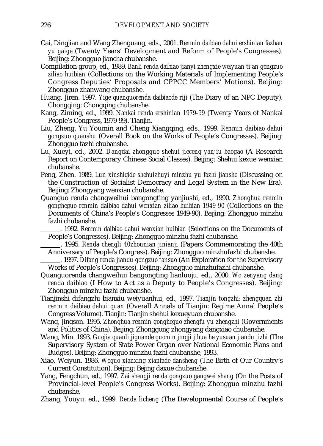- Cai, Dingjian and Wang Zhenguang, eds., 2001. *Renmin daibiao dahui ershinian fazhan yu gaige* (Twenty Years' Development and Reform of People's Congresses). Beijing: Zhongguo jiancha chubanshe.
- Compilation group, ed., 1989. *Banli renda daibiao jianyi zhengxie weiyuan ti'an gongzuo ziliao huibian* (Collections on the Working Materials of Implementing People's Congress Deputies' Proposals and CPPCC Members' Motions). Beijing: Zhongguo zhanwang chubanshe.
- Huang, Jiren. 1997. *Yige quanguorenda daibiaode riji* (The Diary of an NPC Deputy). Chongqing: Chongqing chubanshe.
- Kang, Ziming, ed., 1999. *Nankai renda ershinian 1979-99* (Twenty Years of Nankai People's Congress, 1979-99). Tianjin.
- Liu, Zheng, Yu Youmin and Cheng Xiangqing, eds., 1999. *Renmin daibiao dahui gongzuo quanshu* (Overall Book on the Works of People's Congresses). Beijing: Zhongguo fazhi chubanshe.
- Lu, Xueyi, ed., 2002. *Dangdai zhongguo shehui jieceng yanjiu baogao* (A Research Report on Contemporary Chinese Social Classes). Beijing: Shehui kexue wenxian chubanshe.
- Peng, Zhen. 1989. *Lun xinshiqide shehuizhuyi minzhu yu fazhi jianshe* (Discussing on the Construction of Socialist Democracy and Legal System in the New Era). Beijing: Zhongyang wenxian chubanshe.
- Quanguo renda changweihui bangongting yanjiushi, ed., 1990. *Zhonghua renmin gongheguo renmin daibiao dahui wenxian ziliao huibian 1949-90* (Collections on the Documents of China's People's Congresses 1949-90). Beijing: Zhongguo minzhu fazhi chubanshe.

. 1992. *Renmin daibiao dahui wenxian huibian* (Selections on the Documents of People's Congresses). Beijing: Zhongguo minzhu fazhi chubanshe.

. 1995. *Renda chengli 40zhounian jinianji* (Papers Commemorating the 40th Anniversary of People's Congress). Beijing: Zhongguo minzhufazhi chubanshe.

. 1997. *Difang renda jiandu gongzuo tansuo* (An Exploration for the Supervisory Works of People's Congresses). Beijing: Zhongguo minzhufazhi chubanshe.

- Quanguorenda changweihui bangongting lianluoju, ed., 2000. *Wo zenyang dang renda daibiao* (I How to Act as a Deputy to People's Congresses). Beijing: Zhongguo minzhu fazhi chubanshe.
- Tianjinshi difangzhi bianxiu weiyuanhui, ed., 1997. *Tianjin tongzhi: zhengquan zhi renmin daibiao dahui quan* (Overall Annals of Tianjin: Regime Annal People's Congress Volume). Tianjin: Tianjin shehui kexueyuan chubanshe.
- Wang, Jingson. 1995. *Zhonghua renmin gongheguo zhengfu yu zhengzhi* (Governments and Politics of China). Beijing: Zhonggong zhongyang dangxiao chubanshe.
- Wang, Min. 1993. *Guojia quanli jiguande guomin jingji jihua he yusuan jiandu jizhi* (The Supervisory System of State Power Organ over National Economic Plans and Budges). Beijing: Zhongguo minzhu fazhi chubanshe, 1993.
- Xiao, Weiyun. 1986. *Woguo xianxing xianfade dansheng* (The Birth of Our Country's Current Constitution). Beijing: Bejing daxue chubanshe.
- Yang, Fengchun, ed., 1997. *Zai shengji renda gongzuo gangwei shang* (On the Posts of Provincial-level People's Congress Works). Beijing: Zhongguo minzhu fazhi chubanshe.
- Zhang, Youyu, ed., 1999. *Renda licheng* (The Developmental Course of People's